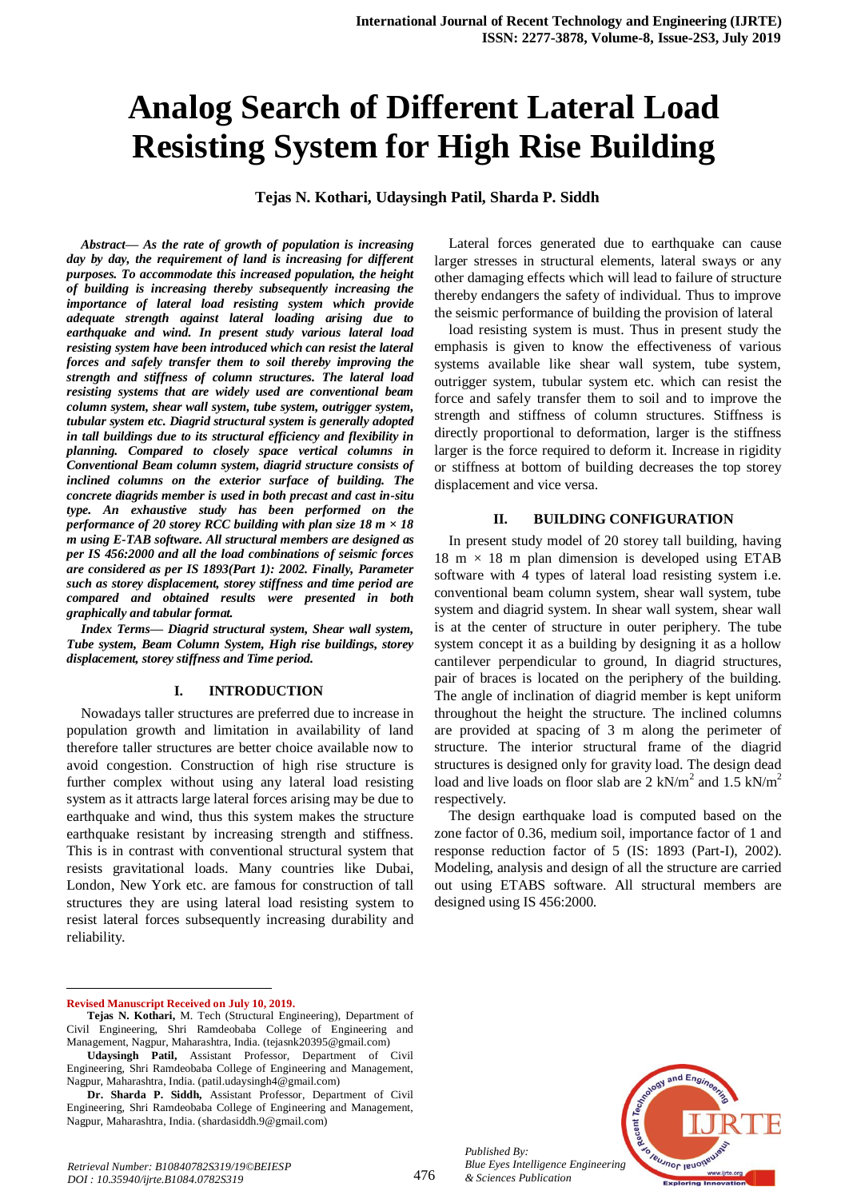# **Analog Search of Different Lateral Load Resisting System for High Rise Building**

#### **Tejas N. Kothari, Udaysingh Patil, Sharda P. Siddh**

*Abstract— As the rate of growth of population is increasing day by day, the requirement of land is increasing for different purposes. To accommodate this increased population, the height of building is increasing thereby subsequently increasing the importance of lateral load resisting system which provide adequate strength against lateral loading arising due to earthquake and wind. In present study various lateral load resisting system have been introduced which can resist the lateral forces and safely transfer them to soil thereby improving the strength and stiffness of column structures. The lateral load resisting systems that are widely used are conventional beam column system, shear wall system, tube system, outrigger system, tubular system etc. Diagrid structural system is generally adopted in tall buildings due to its structural efficiency and flexibility in planning. Compared to closely space vertical columns in Conventional Beam column system, diagrid structure consists of inclined columns on the exterior surface of building. The concrete diagrids member is used in both precast and cast in-situ type. An exhaustive study has been performed on the performance of 20 storey RCC building with plan size 18 m × 18 m using E-TAB software. All structural members are designed as per IS 456:2000 and all the load combinations of seismic forces are considered as per IS 1893(Part 1): 2002. Finally, Parameter such as storey displacement, storey stiffness and time period are compared and obtained results were presented in both graphically and tabular format.*

*Index Terms— Diagrid structural system, Shear wall system, Tube system, Beam Column System, High rise buildings, storey displacement, storey stiffness and Time period.* 

#### **I. INTRODUCTION**

Nowadays taller structures are preferred due to increase in population growth and limitation in availability of land therefore taller structures are better choice available now to avoid congestion. Construction of high rise structure is further complex without using any lateral load resisting system as it attracts large lateral forces arising may be due to earthquake and wind, thus this system makes the structure earthquake resistant by increasing strength and stiffness. This is in contrast with conventional structural system that resists gravitational loads. Many countries like Dubai, London, New York etc. are famous for construction of tall structures they are using lateral load resisting system to resist lateral forces subsequently increasing durability and reliability.

#### **Revised Manuscript Received on July 10, 2019.**

 $\overline{a}$ 

Lateral forces generated due to earthquake can cause larger stresses in structural elements, lateral sways or any other damaging effects which will lead to failure of structure thereby endangers the safety of individual. Thus to improve the seismic performance of building the provision of lateral

load resisting system is must. Thus in present study the emphasis is given to know the effectiveness of various systems available like shear wall system, tube system, outrigger system, tubular system etc. which can resist the force and safely transfer them to soil and to improve the strength and stiffness of column structures. Stiffness is directly proportional to deformation, larger is the stiffness larger is the force required to deform it. Increase in rigidity or stiffness at bottom of building decreases the top storey displacement and vice versa.

#### **II. BUILDING CONFIGURATION**

In present study model of 20 storey tall building, having  $18 \text{ m} \times 18 \text{ m}$  plan dimension is developed using ETAB software with 4 types of lateral load resisting system i.e. conventional beam column system, shear wall system, tube system and diagrid system. In shear wall system, shear wall is at the center of structure in outer periphery. The tube system concept it as a building by designing it as a hollow cantilever perpendicular to ground, In diagrid structures, pair of braces is located on the periphery of the building. The angle of inclination of diagrid member is kept uniform throughout the height the structure. The inclined columns are provided at spacing of 3 m along the perimeter of structure. The interior structural frame of the diagrid structures is designed only for gravity load. The design dead load and live loads on floor slab are  $2 \text{ kN/m}^2$  and  $1.5 \text{ kN/m}^2$ respectively.

The design earthquake load is computed based on the zone factor of 0.36, medium soil, importance factor of 1 and response reduction factor of 5 (IS: 1893 (Part-I), 2002). Modeling, analysis and design of all the structure are carried out using ETABS software. All structural members are designed using IS 456:2000.



476

**Tejas N. Kothari,** M. Tech (Structural Engineering), Department of Civil Engineering, Shri Ramdeobaba College of Engineering and Management, Nagpur, Maharashtra, India. (tejasnk20395@gmail.com)

**Udaysingh Patil,** Assistant Professor, Department of Civil Engineering, Shri Ramdeobaba College of Engineering and Management, Nagpur, Maharashtra, India. (patil.udaysingh4@gmail.com)

**Dr. Sharda P. Siddh,** Assistant Professor, Department of Civil Engineering, Shri Ramdeobaba College of Engineering and Management, Nagpur, Maharashtra, India. (shardasiddh.9@gmail.com)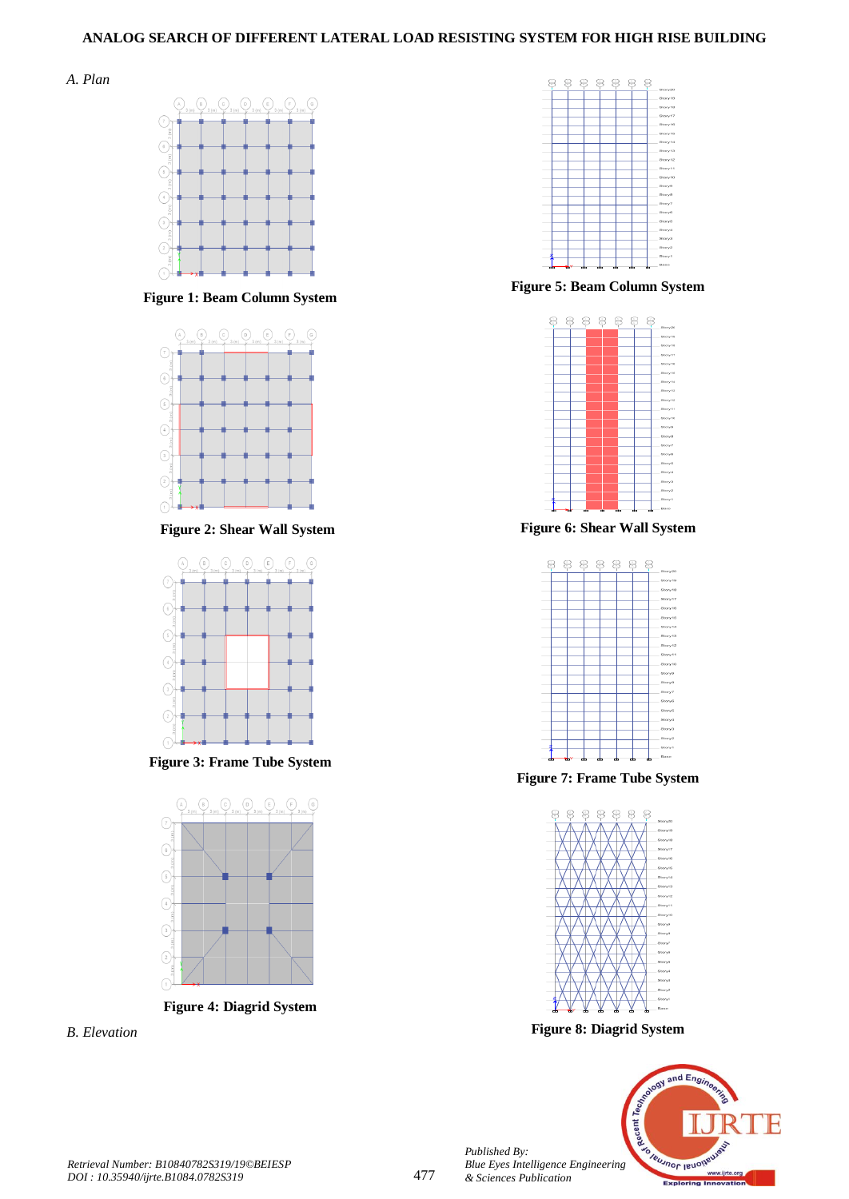# **ANALOG SEARCH OF DIFFERENT LATERAL LOAD RESISTING SYSTEM FOR HIGH RISE BUILDING**





**Figure 1: Beam Column System** 



 **Figure 2: Shear Wall System**



**Figure 3: Frame Tube System** 



*B. Elevation*



**Figure 5: Beam Column System** 



**Figure 6: Shear Wall System**



**Figure 7: Frame Tube System** 



**Figure 8: Diagrid System**



*Published By:*

*& Sciences Publication*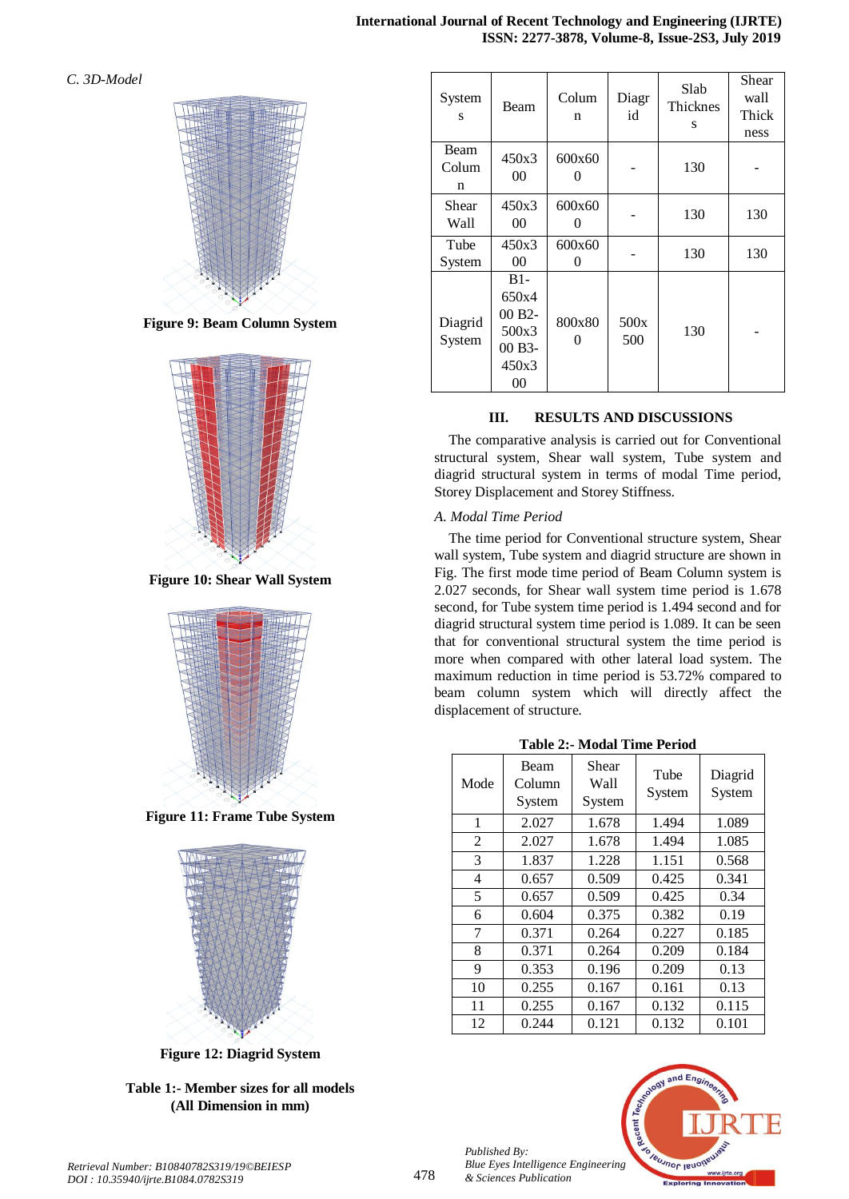*C. 3D-Model*



**Figure 9: Beam Column System** 



**Figure 10: Shear Wall System**



**Figure 11: Frame Tube System** 



**Figure 12: Diagrid System**

# **Table 1:- Member sizes for all models (All Dimension in mm)**

| System<br>S        | Beam                                                                    | Colum<br>n  | Diagr<br>id | Slab<br>Thicknes<br>S | Shear<br>wall<br>Thick<br>ness |
|--------------------|-------------------------------------------------------------------------|-------------|-------------|-----------------------|--------------------------------|
| Beam<br>Colum<br>n | 450x3<br>00                                                             | 600x60<br>0 |             | 130                   |                                |
| Shear<br>Wall      | 450x3<br>00                                                             | 600x60<br>0 |             | 130                   | 130                            |
| Tube<br>System     | 450x3<br>00                                                             | 600x60<br>0 |             | 130                   | 130                            |
| Diagrid<br>System  | $B1-$<br>650x4<br>00 B <sub>2</sub> -<br>500x3<br>00 B3-<br>450x3<br>00 | 800x80<br>0 | 500x<br>500 | 130                   |                                |

# **III. RESULTS AND DISCUSSIONS**

The comparative analysis is carried out for Conventional structural system, Shear wall system, Tube system and diagrid structural system in terms of modal Time period, Storey Displacement and Storey Stiffness.

## *A. Modal Time Period*

The time period for Conventional structure system, Shear wall system, Tube system and diagrid structure are shown in Fig. The first mode time period of Beam Column system is 2.027 seconds, for Shear wall system time period is 1.678 second, for Tube system time period is 1.494 second and for diagrid structural system time period is 1.089. It can be seen that for conventional structural system the time period is more when compared with other lateral load system. The maximum reduction in time period is 53.72% compared to beam column system which will directly affect the displacement of structure.

| <b>Table 2:- Modal Time Period</b> |  |  |
|------------------------------------|--|--|
|------------------------------------|--|--|

| Table 2:- Miodal Thile Period |                          |                         |                |                   |  |
|-------------------------------|--------------------------|-------------------------|----------------|-------------------|--|
| Mode                          | Beam<br>Column<br>System | Shear<br>Wall<br>System | Tube<br>System | Diagrid<br>System |  |
| 1                             | 2.027                    | 1.678                   | 1.494          | 1.089             |  |
| 2                             | 2.027                    | 1.678                   | 1.494          | 1.085             |  |
| 3                             | 1.837                    | 1.228                   | 1.151          | 0.568             |  |
| 4                             | 0.657                    | 0.509                   | 0.425          | 0.341             |  |
| 5                             | 0.657                    | 0.509                   | 0.425          | 0.34              |  |
| 6                             | 0.604                    | 0.375                   | 0.382          | 0.19              |  |
| 7                             | 0.371                    | 0.264                   | 0.227          | 0.185             |  |
| 8                             | 0.371                    | 0.264                   | 0.209          | 0.184             |  |
| 9                             | 0.353                    | 0.196                   | 0.209          | 0.13              |  |
| 10                            | 0.255                    | 0.167                   | 0.161          | 0.13              |  |
| 11                            | 0.255                    | 0.167                   | 0.132          | 0.115             |  |
| 12                            | 0.244                    | 0.121                   | 0.132          | 0.101             |  |

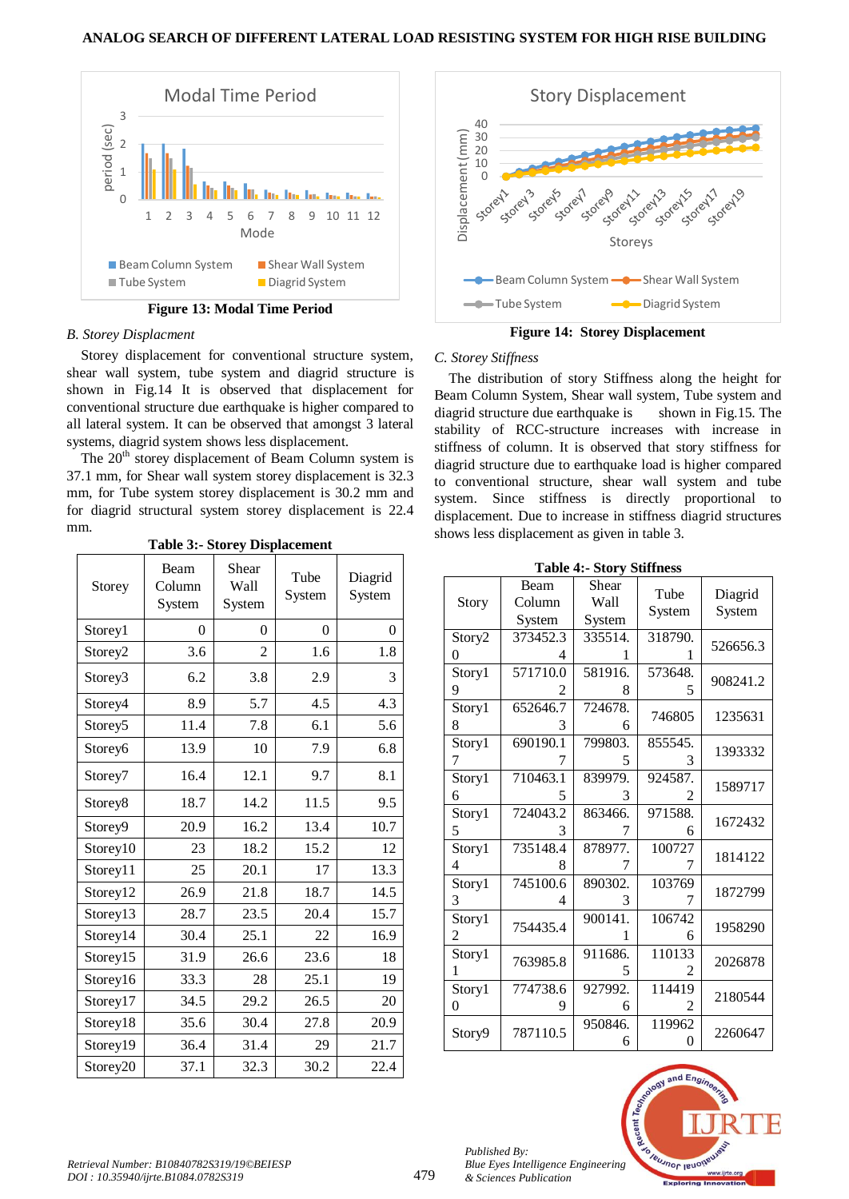

**Figure 13: Modal Time Period**

#### *B. Storey Displacment*

Storey displacement for conventional structure system, shear wall system, tube system and diagrid structure is shown in Fig.14 It is observed that displacement for conventional structure due earthquake is higher compared to all lateral system. It can be observed that amongst 3 lateral systems, diagrid system shows less displacement.

The 20<sup>th</sup> storey displacement of Beam Column system is 37.1 mm, for Shear wall system storey displacement is 32.3 mm, for Tube system storey displacement is 30.2 mm and for diagrid structural system storey displacement is 22.4 mm.

| Storey              | Beam<br>Column<br>System | Shear<br>Wall<br>System | Tube<br>System | Diagrid<br>System |
|---------------------|--------------------------|-------------------------|----------------|-------------------|
| Storey1             | $\overline{0}$           | $\overline{0}$          | $\theta$       | $\theta$          |
| Storey2             | 3.6                      | $\overline{c}$          | 1.6            | 1.8               |
| Storey3             | 6.2                      | 3.8                     | 2.9            | 3                 |
| Storey4             | 8.9                      | 5.7                     | 4.5            | 4.3               |
| Storey <sub>5</sub> | 11.4                     | 7.8                     | 6.1            | 5.6               |
| Storey6             | 13.9                     | 10                      | 7.9            | 6.8               |
| Storey7             | 16.4                     | 12.1                    | 9.7            | 8.1               |
| Storey8             | 18.7                     | 14.2                    | 11.5           | 9.5               |
| Storey9             | 20.9                     | 16.2                    | 13.4           | 10.7              |
| Storey10            | 23                       | 18.2                    | 15.2           | 12                |
| Storey11            | 25                       | 20.1                    | 17             | 13.3              |
| Storey12            | 26.9                     | 21.8                    | 18.7           | 14.5              |
| Storey13            | 28.7                     | 23.5                    | 20.4           | 15.7              |
| Storey14            | 30.4                     | 25.1                    | 22             | 16.9              |
| Storey15            | 31.9                     | 26.6                    | 23.6           | 18                |
| Storey16            | 33.3                     | 28                      | 25.1           | 19                |
| Storey17            | 34.5                     | 29.2                    | 26.5           | 20                |
| Storey18            | 35.6                     | 30.4                    | 27.8           | 20.9              |
| Storey19            | 36.4                     | 31.4                    | 29             | 21.7              |
| Storey20            | 37.1                     | 32.3                    | 30.2           | 22.4              |

**Table 3:- Storey Displacement**



**Figure 14: Storey Displacement**

## *C. Storey Stiffness*

The distribution of story Stiffness along the height for Beam Column System, Shear wall system, Tube system and diagrid structure due earthquake is shown in Fig.15. The stability of RCC-structure increases with increase in stiffness of column. It is observed that story stiffness for diagrid structure due to earthquake load is higher compared to conventional structure, shear wall system and tube system. Since stiffness is directly proportional to displacement. Due to increase in stiffness diagrid structures shows less displacement as given in table 3.

**Table 4:- Story Stiffness**

| Story       | Beam<br>Column<br>System | Shear<br>Wall<br>System | Tube<br>System | Diagrid<br>System |
|-------------|--------------------------|-------------------------|----------------|-------------------|
| Story2<br>0 | 373452.3<br>4            | 335514.<br>1            | 318790.        | 526656.3          |
| Story1<br>9 | 571710.0<br>2            | 581916.<br>8            | 573648.<br>5   | 908241.2          |
| Story1<br>8 | 652646.7<br>3            | 724678.<br>6            | 746805         | 1235631           |
| Story1<br>7 | 690190.1<br>7            | 799803.<br>5            | 855545.<br>3   | 1393332           |
| Story1<br>6 | 710463.1<br>5            | 839979.<br>3            | 924587.<br>2   | 1589717           |
| Story1<br>5 | 724043.2<br>3            | 863466.<br>7            | 971588.<br>6   | 1672432           |
| Story1<br>4 | 735148.4<br>8            | 878977.<br>7            | 100727         | 1814122           |
| Story1<br>3 | 745100.6<br>4            | 890302.<br>3            | 103769<br>7    | 1872799           |
| Story1<br>2 | 754435.4                 | 900141.<br>1            | 106742<br>6    | 1958290           |
| Story1<br>1 | 763985.8                 | 911686.<br>5            | 110133<br>2    | 2026878           |
| Story1<br>0 | 774738.6<br>9            | 927992.<br>6            | 114419         | 2180544           |
| Story9      | 787110.5                 | 950846.<br>6            | 119962<br>0    | 2260647           |